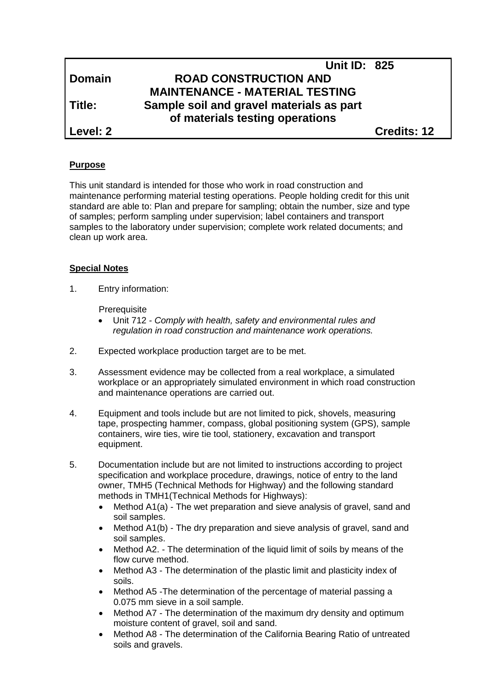|               | <b>Unit ID: 825</b>                                                         |             |
|---------------|-----------------------------------------------------------------------------|-------------|
| <b>Domain</b> | <b>ROAD CONSTRUCTION AND</b>                                                |             |
|               | <b>MAINTENANCE - MATERIAL TESTING</b>                                       |             |
| l Title:      | Sample soil and gravel materials as part<br>of materials testing operations |             |
| Level: 2      |                                                                             | Credits: 12 |

#### **Purpose**

This unit standard is intended for those who work in road construction and maintenance performing material testing operations. People holding credit for this unit standard are able to: Plan and prepare for sampling; obtain the number, size and type of samples; perform sampling under supervision; label containers and transport samples to the laboratory under supervision; complete work related documents; and clean up work area.

#### **Special Notes**

1. Entry information:

**Prerequisite** 

- Unit 712 *- Comply with health, safety and environmental rules and regulation in road construction and maintenance work operations.*
- 2. Expected workplace production target are to be met.
- 3. Assessment evidence may be collected from a real workplace, a simulated workplace or an appropriately simulated environment in which road construction and maintenance operations are carried out.
- 4. Equipment and tools include but are not limited to pick, shovels, measuring tape, prospecting hammer, compass, global positioning system (GPS), sample containers, wire ties, wire tie tool, stationery, excavation and transport equipment.
- 5. Documentation include but are not limited to instructions according to project specification and workplace procedure, drawings, notice of entry to the land owner, TMH5 (Technical Methods for Highway) and the following standard methods in TMH1(Technical Methods for Highways):
	- Method A1(a) The wet preparation and sieve analysis of gravel, sand and soil samples.
	- Method A1(b) The dry preparation and sieve analysis of gravel, sand and soil samples.
	- Method A2. The determination of the liquid limit of soils by means of the flow curve method.
	- Method A3 The determination of the plastic limit and plasticity index of soils.
	- Method A5 -The determination of the percentage of material passing a 0.075 mm sieve in a soil sample.
	- Method A7 The determination of the maximum dry density and optimum moisture content of gravel, soil and sand.
	- Method A8 The determination of the California Bearing Ratio of untreated soils and gravels.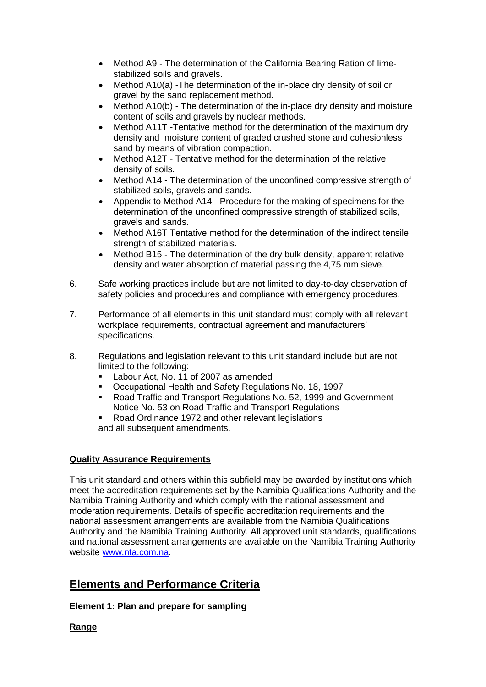- Method A9 The determination of the California Bearing Ration of limestabilized soils and gravels.
- Method A10(a) -The determination of the in-place dry density of soil or gravel by the sand replacement method.
- Method A10(b) The determination of the in-place dry density and moisture content of soils and gravels by nuclear methods.
- Method A11T -Tentative method for the determination of the maximum dry density and moisture content of graded crushed stone and cohesionless sand by means of vibration compaction.
- Method A12T Tentative method for the determination of the relative density of soils.
- Method A14 The determination of the unconfined compressive strength of stabilized soils, gravels and sands.
- Appendix to Method A14 Procedure for the making of specimens for the determination of the unconfined compressive strength of stabilized soils, gravels and sands.
- Method A16T Tentative method for the determination of the indirect tensile strength of stabilized materials.
- Method B15 The determination of the dry bulk density, apparent relative density and water absorption of material passing the 4,75 mm sieve.
- 6. Safe working practices include but are not limited to day-to-day observation of safety policies and procedures and compliance with emergency procedures.
- 7. Performance of all elements in this unit standard must comply with all relevant workplace requirements, contractual agreement and manufacturers' specifications.
- 8. Regulations and legislation relevant to this unit standard include but are not limited to the following:
	- Labour Act, No. 11 of 2007 as amended
	- Occupational Health and Safety Regulations No. 18, 1997
	- Road Traffic and Transport Regulations No. 52, 1999 and Government Notice No. 53 on Road Traffic and Transport Regulations
	- Road Ordinance 1972 and other relevant legislations and all subsequent amendments.

#### **Quality Assurance Requirements**

This unit standard and others within this subfield may be awarded by institutions which meet the accreditation requirements set by the Namibia Qualifications Authority and the Namibia Training Authority and which comply with the national assessment and moderation requirements. Details of specific accreditation requirements and the national assessment arrangements are available from the Namibia Qualifications Authority and the Namibia Training Authority. All approved unit standards, qualifications and national assessment arrangements are available on the Namibia Training Authority website [www.nta.com.na.](http://www.nta.com.na/)

# **Elements and Performance Criteria**

## **Element 1: Plan and prepare for sampling**

**Range**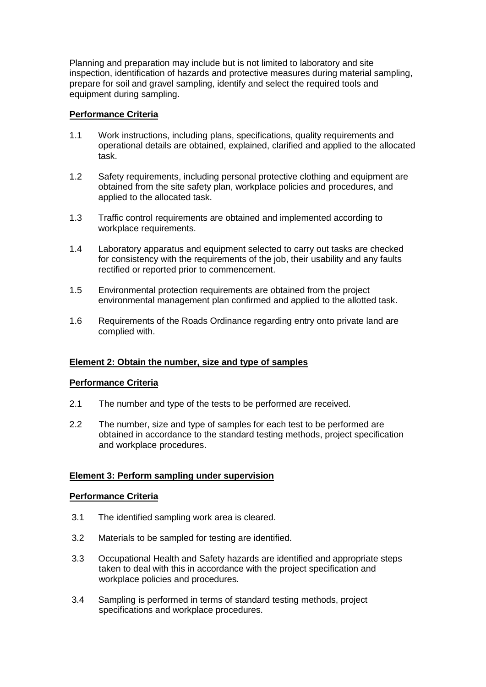Planning and preparation may include but is not limited to laboratory and site inspection, identification of hazards and protective measures during material sampling, prepare for soil and gravel sampling, identify and select the required tools and equipment during sampling.

#### **Performance Criteria**

- 1.1 Work instructions, including plans, specifications, quality requirements and operational details are obtained, explained, clarified and applied to the allocated task.
- 1.2 Safety requirements, including personal protective clothing and equipment are obtained from the site safety plan, workplace policies and procedures, and applied to the allocated task.
- 1.3 Traffic control requirements are obtained and implemented according to workplace requirements.
- 1.4 Laboratory apparatus and equipment selected to carry out tasks are checked for consistency with the requirements of the job, their usability and any faults rectified or reported prior to commencement.
- 1.5 Environmental protection requirements are obtained from the project environmental management plan confirmed and applied to the allotted task.
- 1.6 Requirements of the Roads Ordinance regarding entry onto private land are complied with.

#### **Element 2: Obtain the number, size and type of samples**

#### **Performance Criteria**

- 2.1 The number and type of the tests to be performed are received.
- 2.2 The number, size and type of samples for each test to be performed are obtained in accordance to the standard testing methods, project specification and workplace procedures.

## **Element 3: Perform sampling under supervision**

#### **Performance Criteria**

- 3.1 The identified sampling work area is cleared.
- 3.2 Materials to be sampled for testing are identified.
- 3.3 Occupational Health and Safety hazards are identified and appropriate steps taken to deal with this in accordance with the project specification and workplace policies and procedures.
- 3.4 Sampling is performed in terms of standard testing methods, project specifications and workplace procedures.